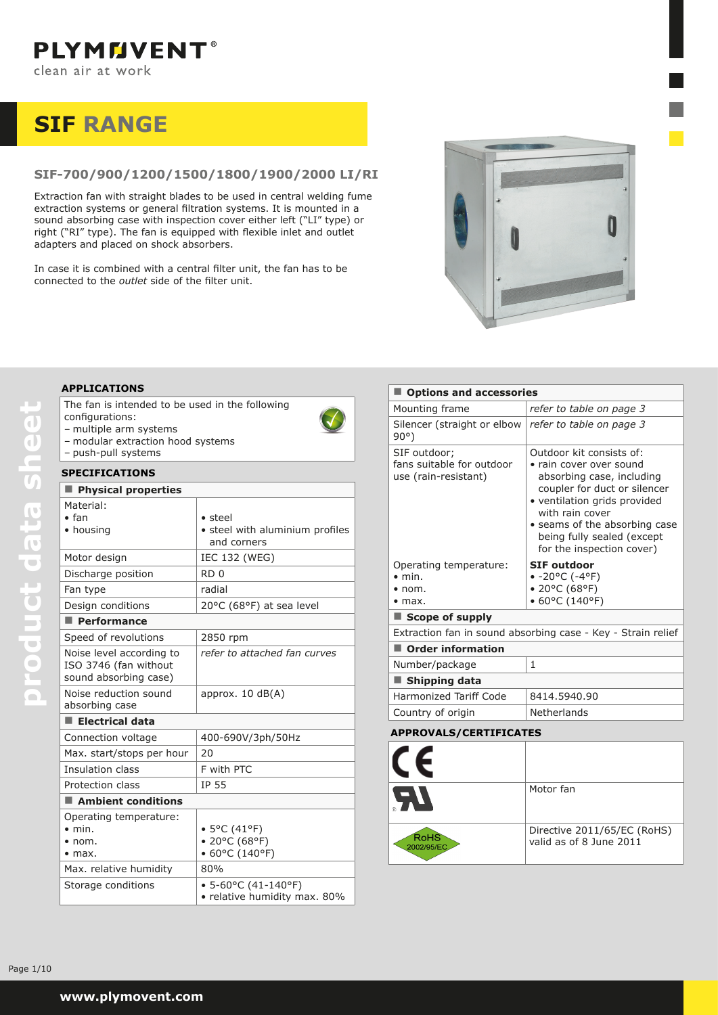# **SIF RANGE**

# **SIF-700/900/1200/1500/1800/1900/2000 LI/RI**

Extraction fan with straight blades to be used in central welding fume extraction systems or general filtration systems. It is mounted in a sound absorbing case with inspection cover either left ("LI" type) or right ("RI" type). The fan is equipped with flexible inlet and outlet adapters and placed on shock absorbers.

In case it is combined with a central filter unit, the fan has to be connected to the *outlet* side of the filter unit.



# **APPLICATIONS**

| The fan is intended to be used in the following |  |
|-------------------------------------------------|--|
| configurations:                                 |  |
| multiple arm overame                            |  |

- multiple arm systems
- modular extraction hood systems – push-pull systems

## **SPECIFICATIONS**

| SPECIFICATIONS                                                               |                                                                   |
|------------------------------------------------------------------------------|-------------------------------------------------------------------|
| Physical properties                                                          |                                                                   |
| Material:<br>• fan<br>• housing                                              | $\bullet$ steel<br>• steel with aluminium profiles<br>and corners |
| Motor design                                                                 | IEC 132 (WEG)                                                     |
| Discharge position                                                           | RD <sub>0</sub>                                                   |
| Fan type                                                                     | radial                                                            |
| Design conditions                                                            | 20°C (68°F) at sea level                                          |
| Performance                                                                  |                                                                   |
| Speed of revolutions                                                         | 2850 rpm                                                          |
| Noise level according to<br>ISO 3746 (fan without<br>sound absorbing case)   | refer to attached fan curves                                      |
| Noise reduction sound<br>absorbing case                                      | approx. $10 \text{ dB}(A)$                                        |
| $\blacksquare$ Electrical data                                               |                                                                   |
| Connection voltage                                                           | 400-690V/3ph/50Hz                                                 |
| Max. start/stops per hour                                                    | 20                                                                |
| Insulation class                                                             | F with PTC                                                        |
| Protection class                                                             | IP 55                                                             |
| $\blacksquare$ Ambient conditions                                            |                                                                   |
| Operating temperature:<br>$\bullet$ min.<br>$\bullet$ nom.<br>$\bullet$ max. | • 5°C (41°F)<br>• 20°C (68°F)<br>• 60°C (140°F)                   |
| Max. relative humidity                                                       | 80%                                                               |
| Storage conditions                                                           | $\bullet$ 5-60°C (41-140°F)<br>· relative humidity max. 80%       |

| Options and accessories                                                |                                                                                                                                                                                                                                                                 |  |  |  |  |  |
|------------------------------------------------------------------------|-----------------------------------------------------------------------------------------------------------------------------------------------------------------------------------------------------------------------------------------------------------------|--|--|--|--|--|
| Mounting frame                                                         | refer to table on page 3                                                                                                                                                                                                                                        |  |  |  |  |  |
| Silencer (straight or elbow   refer to table on page 3<br>$90^{\circ}$ |                                                                                                                                                                                                                                                                 |  |  |  |  |  |
| SIF outdoor;<br>fans suitable for outdoor<br>use (rain-resistant)      | Outdoor kit consists of:<br>• rain cover over sound<br>absorbing case, including<br>coupler for duct or silencer<br>• ventilation grids provided<br>with rain cover<br>• seams of the absorbing case<br>being fully sealed (except<br>for the inspection cover) |  |  |  |  |  |
| Operating temperature:                                                 | <b>SIF outdoor</b>                                                                                                                                                                                                                                              |  |  |  |  |  |
|                                                                        |                                                                                                                                                                                                                                                                 |  |  |  |  |  |
| $\bullet$ min.                                                         | $-20^{\circ}$ C (-4°F)                                                                                                                                                                                                                                          |  |  |  |  |  |
| $\bullet$ nom.<br>$\bullet$ max.                                       | • 20°C (68°F)                                                                                                                                                                                                                                                   |  |  |  |  |  |
| Scope of supply                                                        | $\bullet$ 60°C (140°F)                                                                                                                                                                                                                                          |  |  |  |  |  |
|                                                                        | Extraction fan in sound absorbing case - Key - Strain relief                                                                                                                                                                                                    |  |  |  |  |  |
| <b>Order information</b>                                               |                                                                                                                                                                                                                                                                 |  |  |  |  |  |
| Number/package                                                         | 1                                                                                                                                                                                                                                                               |  |  |  |  |  |
| Shipping data                                                          |                                                                                                                                                                                                                                                                 |  |  |  |  |  |
| Harmonized Tariff Code                                                 | 8414.5940.90                                                                                                                                                                                                                                                    |  |  |  |  |  |
| Country of origin                                                      | Netherlands                                                                                                                                                                                                                                                     |  |  |  |  |  |

#### **APPROVALS/CERTIFICATES**

| T E                |                                                        |
|--------------------|--------------------------------------------------------|
| $\boldsymbol{A}$   | Motor fan                                              |
| RoHS<br>2002/95/EC | Directive 2011/65/EC (RoHS)<br>valid as of 8 June 2011 |

product data sheet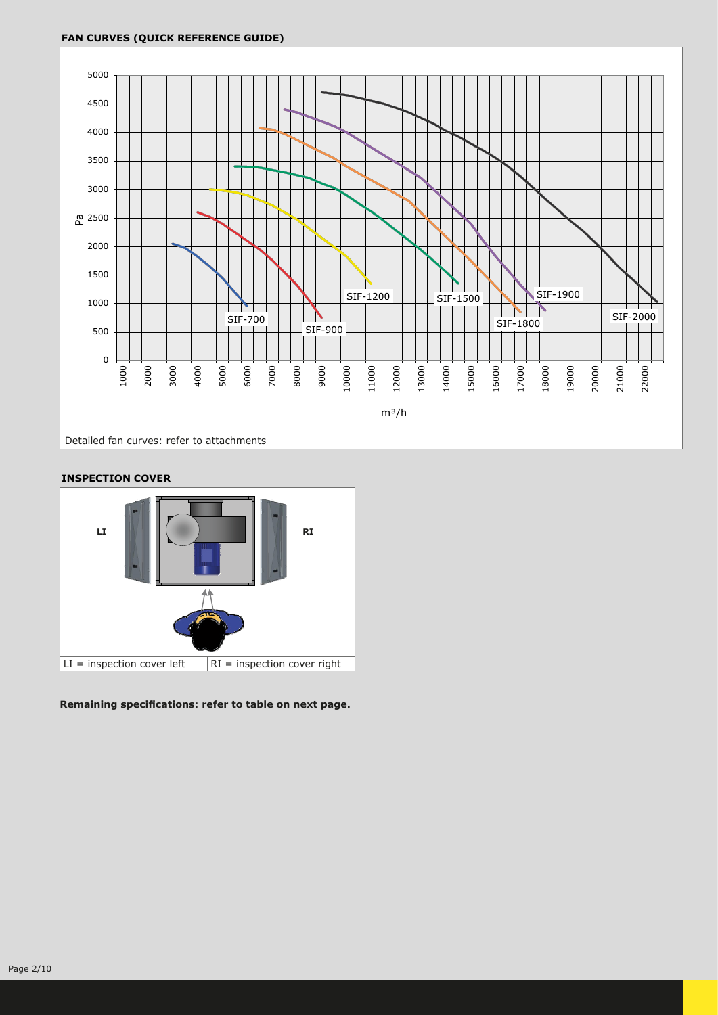## **FAN CURVES (QUICK REFERENCE GUIDE)**



## **INSPECTION COVER**



**Remaining specifications: refer to table on next page.**